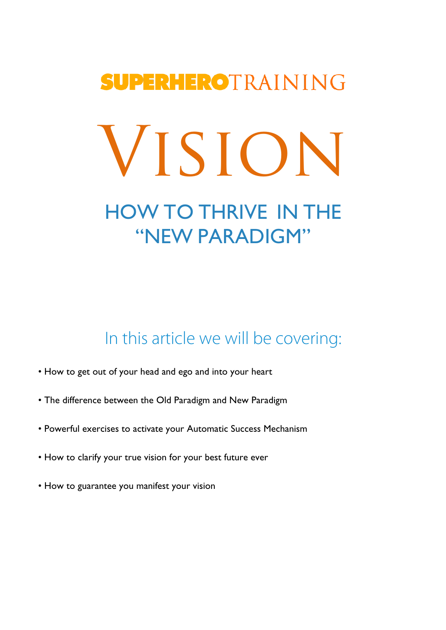# **SUPERHEROTRAINING** Vision HOW TO THRIVE IN THE "NEW PARADIGM"

In this article we will be covering:

- How to get out of your head and ego and into your heart
- The difference between the Old Paradigm and New Paradigm
- Powerful exercises to activate your Automatic Success Mechanism
- How to clarify your true vision for your best future ever
- How to guarantee you manifest your vision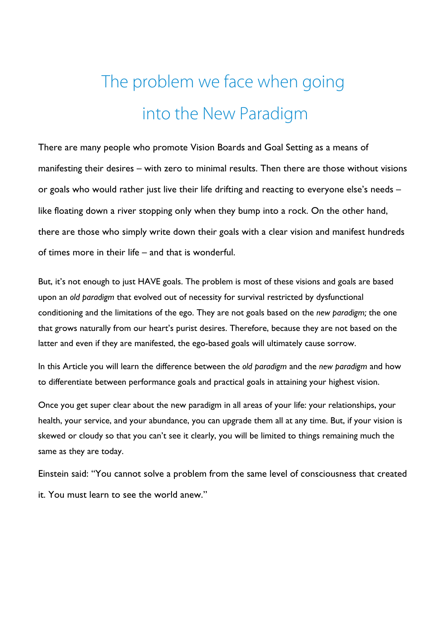## The problem we face when going into the New Paradigm

There are many people who promote Vision Boards and Goal Setting as a means of manifesting their desires – with zero to minimal results. Then there are those without visions or goals who would rather just live their life drifting and reacting to everyone else's needs – like floating down a river stopping only when they bump into a rock. On the other hand, there are those who simply write down their goals with a clear vision and manifest hundreds of times more in their life – and that is wonderful.

But, it's not enough to just HAVE goals. The problem is most of these visions and goals are based upon an *old paradigm* that evolved out of necessity for survival restricted by dysfunctional conditioning and the limitations of the ego. They are not goals based on the *new paradigm;* the one that grows naturally from our heart's purist desires. Therefore, because they are not based on the latter and even if they are manifested, the ego-based goals will ultimately cause sorrow.

In this Article you will learn the difference between the *old paradigm* and the *new paradigm* and how to differentiate between performance goals and practical goals in attaining your highest vision.

Once you get super clear about the new paradigm in all areas of your life: your relationships, your health, your service, and your abundance, you can upgrade them all at any time. But, if your vision is skewed or cloudy so that you can't see it clearly, you will be limited to things remaining much the same as they are today.

Einstein said: "You cannot solve a problem from the same level of consciousness that created it. You must learn to see the world anew."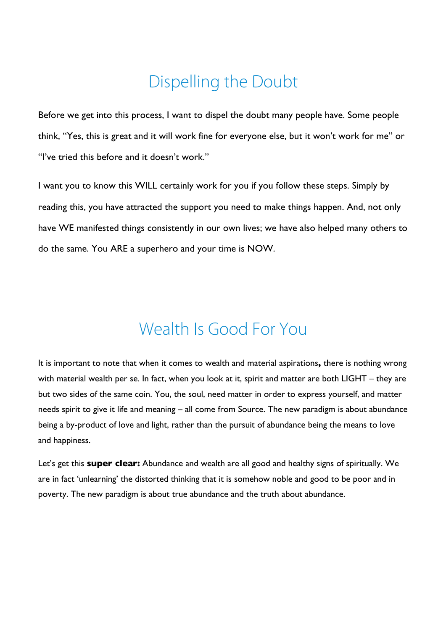### Dispelling the Doubt

Before we get into this process, I want to dispel the doubt many people have. Some people think, "Yes, this is great and it will work fine for everyone else, but it won't work for me" or "I've tried this before and it doesn't work."

I want you to know this WILL certainly work for you if you follow these steps. Simply by reading this, you have attracted the support you need to make things happen. And, not only have WE manifested things consistently in our own lives; we have also helped many others to do the same. You ARE a superhero and your time is NOW.

### Wealth Is Good For You

It is important to note that when it comes to wealth and material aspirations**,** there is nothing wrong with material wealth per se. In fact, when you look at it, spirit and matter are both LIGHT – they are but two sides of the same coin. You, the soul, need matter in order to express yourself, and matter needs spirit to give it life and meaning – all come from Source. The new paradigm is about abundance being a by-product of love and light, rather than the pursuit of abundance being the means to love and happiness.

Let's get this **super clear:** Abundance and wealth are all good and healthy signs of spiritually. We are in fact 'unlearning' the distorted thinking that it is somehow noble and good to be poor and in poverty. The new paradigm is about true abundance and the truth about abundance.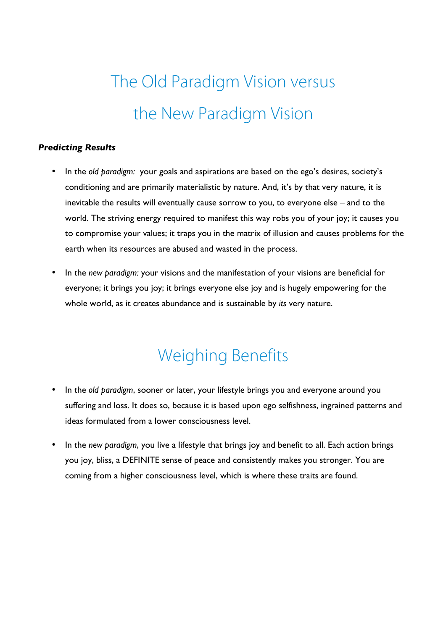## The Old Paradigm Vision versus the New Paradigm Vision

#### *Predicting Results*

- In the *old paradigm:* your goals and aspirations are based on the ego's desires, society's conditioning and are primarily materialistic by nature. And, it's by that very nature, it is inevitable the results will eventually cause sorrow to you, to everyone else – and to the world. The striving energy required to manifest this way robs you of your joy; it causes you to compromise your values; it traps you in the matrix of illusion and causes problems for the earth when its resources are abused and wasted in the process.
- In the *new paradigm:* your visions and the manifestation of your visions are beneficial for everyone; it brings you joy; it brings everyone else joy and is hugely empowering for the whole world, as it creates abundance and is sustainable by *its* very nature.

### Weighing Benefits

- In the *old paradigm*, sooner or later, your lifestyle brings you and everyone around you suffering and loss. It does so, because it is based upon ego selfishness, ingrained patterns and ideas formulated from a lower consciousness level.
- In the *new paradigm*, you live a lifestyle that brings joy and benefit to all. Each action brings you joy, bliss, a DEFINITE sense of peace and consistently makes you stronger. You are coming from a higher consciousness level, which is where these traits are found.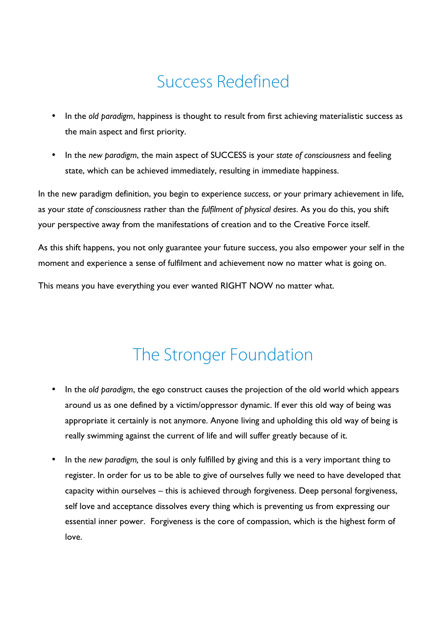### Success Redefined

- In the *old paradigm*, happiness is thought to result from first achieving materialistic success as the main aspect and first priority.
- In the *new paradigm*, the main aspect of SUCCESS is your *state of consciousness* and feeling state, which can be achieved immediately, resulting in immediate happiness.

In the new paradigm definition, you begin to experience *success*, or your primary achievement in life, as your *state of consciousness* rather than the *fulfilment of physical desires*. As you do this, you shift your perspective away from the manifestations of creation and to the Creative Force itself.

As this shift happens, you not only guarantee your future success, you also empower your self in the moment and experience a sense of fulfilment and achievement now no matter what is going on.

This means you have everything you ever wanted RIGHT NOW no matter what.

#### The Stronger Foundation

- In the *old paradigm*, the ego construct causes the projection of the old world which appears around us as one defined by a victim/oppressor dynamic. If ever this old way of being was appropriate it certainly is not anymore. Anyone living and upholding this old way of being is really swimming against the current of life and will suffer greatly because of it.
- In the *new paradigm,* the soul is only fulfilled by giving and this is a very important thing to register. In order for us to be able to give of ourselves fully we need to have developed that capacity within ourselves – this is achieved through forgiveness. Deep personal forgiveness, self love and acceptance dissolves every thing which is preventing us from expressing our essential inner power. Forgiveness is the core of compassion, which is the highest form of love.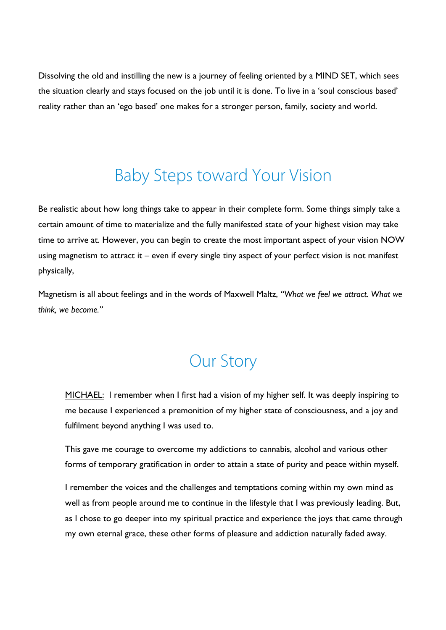Dissolving the old and instilling the new is a journey of feeling oriented by a MIND SET, which sees the situation clearly and stays focused on the job until it is done. To live in a 'soul conscious based' reality rather than an 'ego based' one makes for a stronger person, family, society and world.

#### Baby Steps toward Your Vision

Be realistic about how long things take to appear in their complete form. Some things simply take a certain amount of time to materialize and the fully manifested state of your highest vision may take time to arrive at. However, you can begin to create the most important aspect of your vision NOW using magnetism to attract it – even if every single tiny aspect of your perfect vision is not manifest physically,

Magnetism is all about feelings and in the words of Maxwell Maltz, *"What we feel we attract. What we think, we become."* 

#### Our Story

MICHAEL: I remember when I first had a vision of my higher self. It was deeply inspiring to me because I experienced a premonition of my higher state of consciousness, and a joy and fulfilment beyond anything I was used to.

This gave me courage to overcome my addictions to cannabis, alcohol and various other forms of temporary gratification in order to attain a state of purity and peace within myself.

I remember the voices and the challenges and temptations coming within my own mind as well as from people around me to continue in the lifestyle that I was previously leading. But, as I chose to go deeper into my spiritual practice and experience the joys that came through my own eternal grace, these other forms of pleasure and addiction naturally faded away.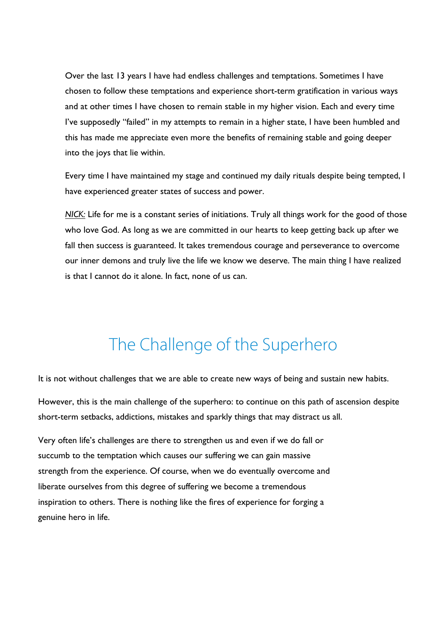Over the last 13 years I have had endless challenges and temptations. Sometimes I have chosen to follow these temptations and experience short-term gratification in various ways and at other times I have chosen to remain stable in my higher vision. Each and every time I've supposedly "failed" in my attempts to remain in a higher state, I have been humbled and this has made me appreciate even more the benefits of remaining stable and going deeper into the joys that lie within.

Every time I have maintained my stage and continued my daily rituals despite being tempted, I have experienced greater states of success and power.

*NICK:* Life for me is a constant series of initiations. Truly all things work for the good of those who love God. As long as we are committed in our hearts to keep getting back up after we fall then success is guaranteed. It takes tremendous courage and perseverance to overcome our inner demons and truly live the life we know we deserve. The main thing I have realized is that I cannot do it alone. In fact, none of us can.

#### The Challenge of the Superhero

It is not without challenges that we are able to create new ways of being and sustain new habits.

However, this is the main challenge of the superhero: to continue on this path of ascension despite short-term setbacks, addictions, mistakes and sparkly things that may distract us all.

Very often life's challenges are there to strengthen us and even if we do fall or succumb to the temptation which causes our suffering we can gain massive strength from the experience. Of course, when we do eventually overcome and liberate ourselves from this degree of suffering we become a tremendous inspiration to others. There is nothing like the fires of experience for forging a genuine hero in life.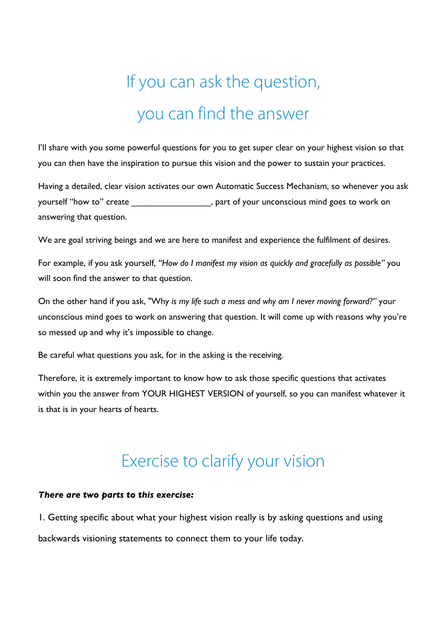# If you can ask the question, you can find the answer

I'll share with you some powerful questions for you to get super clear on your highest vision so that you can then have the inspiration to pursue this vision and the power to sustain your practices.

Having a detailed, clear vision activates our own Automatic Success Mechanism, so whenever you ask yourself "how to" create \_\_\_\_\_\_\_\_\_\_\_\_\_\_\_\_, part of your unconscious mind goes to work on answering that question.

We are goal striving beings and we are here to manifest and experience the fulfilment of desires.

For example, if you ask yourself, *"How do I manifest my vision as quickly and gracefully as possible"* you will soon find the answer to that question.

On the other hand if you ask, "Why *is my life such a mess and why am I never moving forward?"* your unconscious mind goes to work on answering that question. It will come up with reasons why you're so messed up and why it's impossible to change.

Be careful what questions you ask, for in the asking is the receiving.

Therefore, it is extremely important to know how to ask those specific questions that activates within you the answer from YOUR HIGHEST VERSION of yourself, so you can manifest whatever it is that is in your hearts of hearts.

#### Exercise to clarify your vision

#### *There are two parts to this exercise:*

1. Getting specific about what your highest vision really is by asking questions and using backwards visioning statements to connect them to your life today.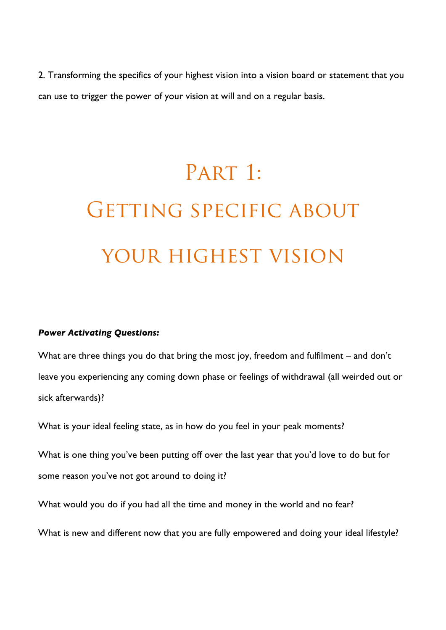2. Transforming the specifics of your highest vision into a vision board or statement that you can use to trigger the power of your vision at will and on a regular basis.

# PART 1: GETTING SPECIFIC ABOUT your highest vision

#### *Power Activating Questions:*

What are three things you do that bring the most joy, freedom and fulfilment – and don't leave you experiencing any coming down phase or feelings of withdrawal (all weirded out or sick afterwards)?

What is your ideal feeling state, as in how do you feel in your peak moments?

What is one thing you've been putting off over the last year that you'd love to do but for some reason you've not got around to doing it?

What would you do if you had all the time and money in the world and no fear?

What is new and different now that you are fully empowered and doing your ideal lifestyle?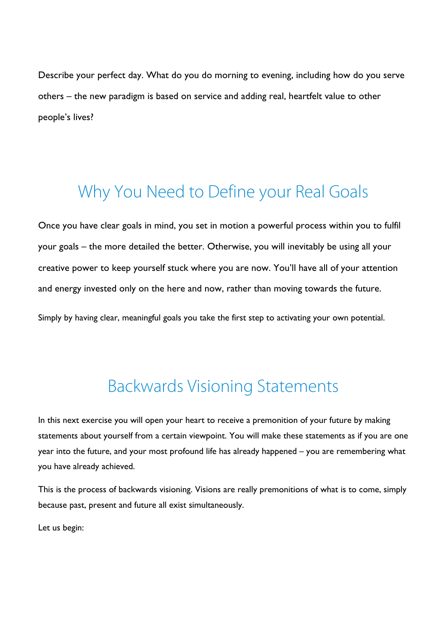Describe your perfect day. What do you do morning to evening, including how do you serve others – the new paradigm is based on service and adding real, heartfelt value to other people's lives?

#### Why You Need to Define your Real Goals

Once you have clear goals in mind, you set in motion a powerful process within you to fulfil your goals – the more detailed the better. Otherwise, you will inevitably be using all your creative power to keep yourself stuck where you are now. You'll have all of your attention and energy invested only on the here and now, rather than moving towards the future.

Simply by having clear, meaningful goals you take the first step to activating your own potential.

#### Backwards Visioning Statements

In this next exercise you will open your heart to receive a premonition of your future by making statements about yourself from a certain viewpoint. You will make these statements as if you are one year into the future, and your most profound life has already happened – you are remembering what you have already achieved.

This is the process of backwards visioning. Visions are really premonitions of what is to come, simply because past, present and future all exist simultaneously.

Let us begin: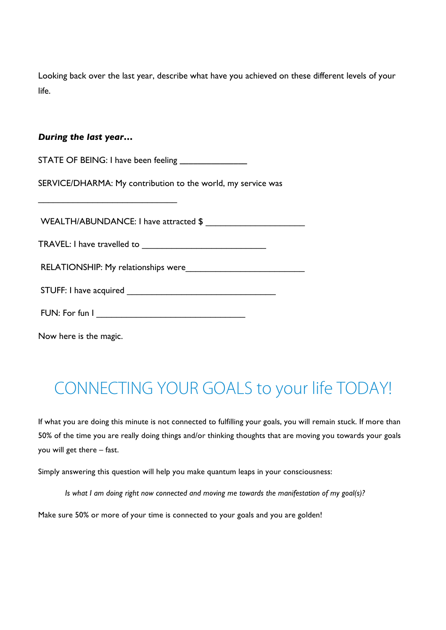Looking back over the last year, describe what have you achieved on these different levels of your life.

#### *During the last year…*

\_\_\_\_\_\_\_\_\_\_\_\_\_\_\_\_\_\_\_\_\_\_\_\_\_\_\_\_

STATE OF BEING: I have been feeling **\_\_\_\_\_\_\_\_\_\_\_\_\_\_\_**

SERVICE/DHARMA: My contribution to the world, my service was

WEALTH/ABUNDANCE: I have attracted \$

TRAVEL: I have travelled to

RELATIONSHIP: My relationships were

| FUN: For fun I |  |
|----------------|--|
|                |  |

Now here is the magic.

## CONNECTING YOUR GOALS to your life TODAY!

If what you are doing this minute is not connected to fulfilling your goals, you will remain stuck. If more than 50% of the time you are really doing things and/or thinking thoughts that are moving you towards your goals you will get there – fast.

Simply answering this question will help you make quantum leaps in your consciousness:

*Is what I am doing right now connected and moving me towards the manifestation of my goal(s)?*

Make sure 50% or more of your time is connected to your goals and you are golden!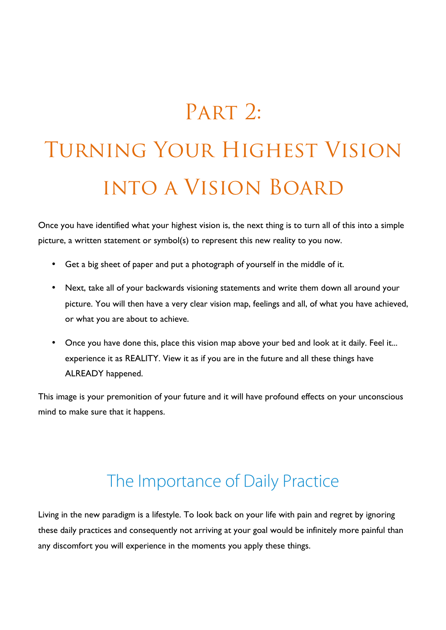## PART 2:

# Turning Your Highest Vision into a Vision Board

Once you have identified what your highest vision is, the next thing is to turn all of this into a simple picture, a written statement or symbol(s) to represent this new reality to you now.

- Get a big sheet of paper and put a photograph of yourself in the middle of it.
- Next, take all of your backwards visioning statements and write them down all around your picture. You will then have a very clear vision map, feelings and all, of what you have achieved, or what you are about to achieve.
- Once you have done this, place this vision map above your bed and look at it daily. Feel it... experience it as REALITY. View it as if you are in the future and all these things have ALREADY happened.

This image is your premonition of your future and it will have profound effects on your unconscious mind to make sure that it happens.

### The Importance of Daily Practice

Living in the new paradigm is a lifestyle. To look back on your life with pain and regret by ignoring these daily practices and consequently not arriving at your goal would be infinitely more painful than any discomfort you will experience in the moments you apply these things.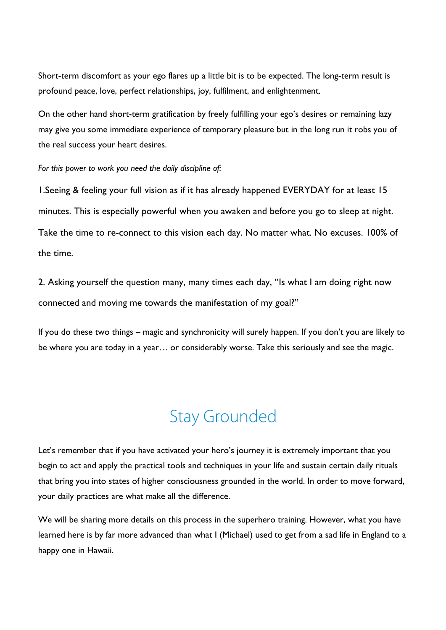Short-term discomfort as your ego flares up a little bit is to be expected. The long-term result is profound peace, love, perfect relationships, joy, fulfilment, and enlightenment.

On the other hand short-term gratification by freely fulfilling your ego's desires or remaining lazy may give you some immediate experience of temporary pleasure but in the long run it robs you of the real success your heart desires.

*For this power to work you need the daily discipline of:*

1.Seeing & feeling your full vision as if it has already happened EVERYDAY for at least 15 minutes. This is especially powerful when you awaken and before you go to sleep at night. Take the time to re-connect to this vision each day. No matter what. No excuses. 100% of the time.

2. Asking yourself the question many, many times each day, "Is what I am doing right now connected and moving me towards the manifestation of my goal?"

If you do these two things – magic and synchronicity will surely happen. If you don't you are likely to be where you are today in a year… or considerably worse. Take this seriously and see the magic.

#### Stay Grounded

Let's remember that if you have activated your hero's journey it is extremely important that you begin to act and apply the practical tools and techniques in your life and sustain certain daily rituals that bring you into states of higher consciousness grounded in the world. In order to move forward, your daily practices are what make all the difference.

We will be sharing more details on this process in the superhero training. However, what you have learned here is by far more advanced than what I (Michael) used to get from a sad life in England to a happy one in Hawaii.